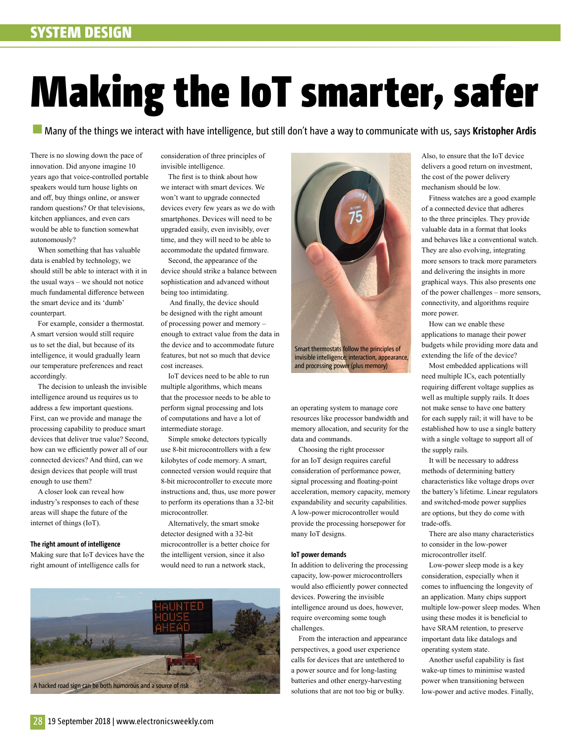# Making the IoT smarter, safer

Many of the things we interact with have intelligence, but still don't have a way to communicate with us, says **Kristopher Ardis**

There is no slowing down the pace of innovation. Did anyone imagine 10 years ago that voice-controlled portable speakers would turn house lights on and off, buy things online, or answer random questions? Or that televisions, kitchen appliances, and even cars would be able to function somewhat autonomously?

When something that has valuable data is enabled by technology, we should still be able to interact with it in the usual ways – we should not notice much fundamental difference between the smart device and its 'dumb' counterpart.

For example, consider a thermostat. A smart version would still require us to set the dial, but because of its intelligence, it would gradually learn our temperature preferences and react accordingly.

The decision to unleash the invisible intelligence around us requires us to address a few important questions. First, can we provide and manage the processing capability to produce smart devices that deliver true value? Second, how can we efficiently power all of our connected devices? And third, can we design devices that people will trust enough to use them?

A closer look can reveal how industry's responses to each of these areas will shape the future of the internet of things (IoT).

**The right amount of intelligence**

Making sure that IoT devices have the right amount of intelligence calls for

consideration of three principles of invisible intelligence.

The first is to think about how we interact with smart devices. We won't want to upgrade connected devices every few years as we do with smartphones. Devices will need to be upgraded easily, even invisibly, over time, and they will need to be able to accommodate the updated firmware.

Second, the appearance of the device should strike a balance between sophistication and advanced without being too intimidating.

And finally, the device should be designed with the right amount of processing power and memory – enough to extract value from the data in the device and to accommodate future features, but not so much that device cost increases.

IoT devices need to be able to run multiple algorithms, which means that the processor needs to be able to perform signal processing and lots of computations and have a lot of intermediate storage.

Simple smoke detectors typically use 8-bit microcontrollers with a few kilobytes of code memory. A smart, connected version would require that 8-bit microcontroller to execute more instructions and, thus, use more power to perform its operations than a 32-bit microcontroller.

Alternatively, the smart smoke detector designed with a 32-bit microcontroller is a better choice for the intelligent version, since it also would need to run a network stack,



Smart thermostats follow the principles of invisible intelligence: interaction, appearance, and processing power (plus memory)

an operating system to manage core resources like processor bandwidth and memory allocation, and security for the data and commands.

Choosing the right processor for an IoT design requires careful consideration of performance power, signal processing and floating-point acceleration, memory capacity, memory expandability and security capabilities. A low-power microcontroller would provide the processing horsepower for many IoT designs.

#### **IoT power demands**

In addition to delivering the processing capacity, low-power microcontrollers would also efficiently power connected devices. Powering the invisible intelligence around us does, however, require overcoming some tough challenges.

From the interaction and appearance perspectives, a good user experience calls for devices that are untethered to a power source and for long-lasting batteries and other energy-harvesting solutions that are not too big or bulky.

Also, to ensure that the IoT device delivers a good return on investment, the cost of the power delivery mechanism should be low.

Fitness watches are a good example of a connected device that adheres to the three principles. They provide valuable data in a format that looks and behaves like a conventional watch. They are also evolving, integrating more sensors to track more parameters and delivering the insights in more graphical ways. This also presents one of the power challenges – more sensors, connectivity, and algorithms require more power.

How can we enable these applications to manage their power budgets while providing more data and extending the life of the device?

Most embedded applications will need multiple ICs, each potentially requiring different voltage supplies as well as multiple supply rails. It does not make sense to have one battery for each supply rail; it will have to be established how to use a single battery with a single voltage to support all of the supply rails.

It will be necessary to address methods of determining battery characteristics like voltage drops over the battery's lifetime. Linear regulators and switched-mode power supplies are options, but they do come with trade-offs.

There are also many characteristics to consider in the low-power microcontroller itself.

Low-power sleep mode is a key consideration, especially when it comes to influencing the longevity of an application. Many chips support multiple low-power sleep modes. When using these modes it is beneficial to have SRAM retention, to preserve important data like datalogs and operating system state.

Another useful capability is fast wake-up times to minimise wasted power when transitioning between low-power and active modes. Finally,